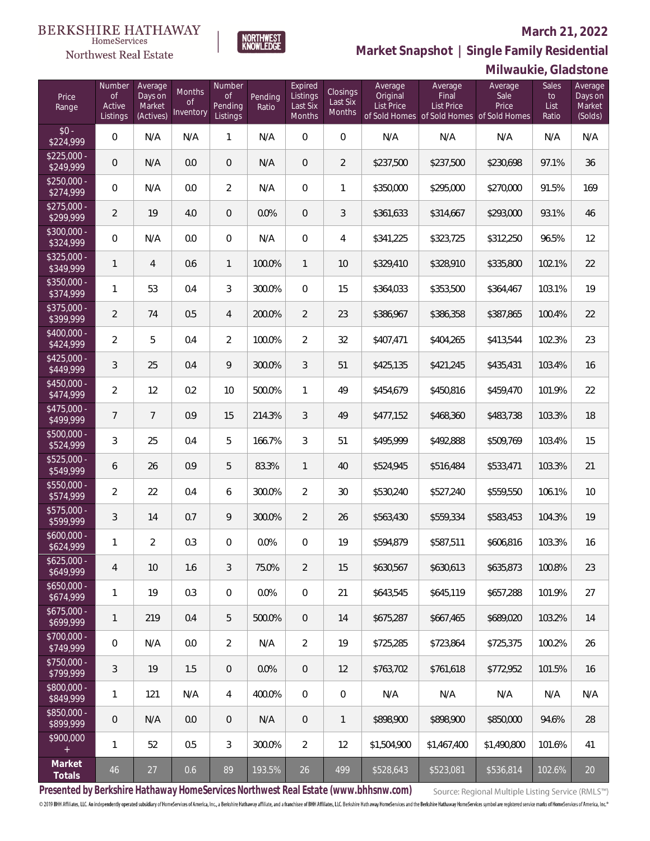#### **BERKSHIRE HATHAWAY** HomeServices

# Northwest Real Estate

### **March 21, 2022**



|                                   |                                           |                                           |                                  |                                            |                  |                                           |                                       |                                          |                                                                                    | <b>IVIIIWAUNIC, UIAUSTULIC</b> |                                     |                                         |
|-----------------------------------|-------------------------------------------|-------------------------------------------|----------------------------------|--------------------------------------------|------------------|-------------------------------------------|---------------------------------------|------------------------------------------|------------------------------------------------------------------------------------|--------------------------------|-------------------------------------|-----------------------------------------|
| Price<br>Range                    | Number<br><b>of</b><br>Active<br>Listings | Average<br>Days on<br>Market<br>(Actives) | Months<br><b>of</b><br>Inventory | Number<br><b>of</b><br>Pending<br>Listings | Pending<br>Ratio | Expired<br>Listings<br>Last Six<br>Months | Closings<br>Last Six<br><b>Months</b> | Average<br>Original<br><b>List Price</b> | Average<br>Final<br><b>List Price</b><br>of Sold Homes of Sold Homes of Sold Homes | Average<br>Sale<br>Price       | <b>Sales</b><br>to<br>List<br>Ratio | Average<br>Days on<br>Market<br>(Solds) |
| $$0 -$<br>\$224,999               | 0                                         | N/A                                       | N/A                              | 1                                          | N/A              | $\overline{0}$                            | $\overline{0}$                        | N/A                                      | N/A                                                                                | N/A                            | N/A                                 | N/A                                     |
| $$225,000 -$<br>\$249,999         | $\mathbf 0$                               | N/A                                       | 0.0                              | $\theta$                                   | N/A              | $\mathbf 0$                               | $\overline{2}$                        | \$237,500                                | \$237,500                                                                          | \$230,698                      | 97.1%                               | 36                                      |
| $$250,000 -$<br>$\sqrt{$274,999}$ | 0                                         | N/A                                       | 0.0                              | $\overline{2}$                             | N/A              | $\mathbf 0$                               | 1                                     | \$350,000                                | \$295,000                                                                          | \$270,000                      | 91.5%                               | 169                                     |
| $$275,000 -$<br>\$299,999         | $\overline{2}$                            | 19                                        | 4.0                              | $\mathbf 0$                                | 0.0%             | $\mathbf 0$                               | 3                                     | \$361,633                                | \$314,667                                                                          | \$293,000                      | 93.1%                               | 46                                      |
| $$300,000 -$<br>$\sqrt{$324,999}$ | 0                                         | N/A                                       | 0.0                              | $\mathbf 0$                                | N/A              | $\mathbf 0$                               | 4                                     | \$341,225                                | \$323,725                                                                          | \$312,250                      | 96.5%                               | 12                                      |
| $$325,000 -$<br>\$349,999         | $\mathbf{1}$                              | $\overline{4}$                            | 0.6                              | $\mathbf{1}$                               | 100.0%           | $\mathbf{1}$                              | 10                                    | \$329,410                                | \$328,910                                                                          | \$335,800                      | 102.1%                              | 22                                      |
| $$350,000 -$<br>\$374,999         | $\mathbf{1}$                              | 53                                        | 0.4                              | $\mathfrak{Z}$                             | 300.0%           | $\mathbf 0$                               | 15                                    | \$364,033                                | \$353,500                                                                          | \$364,467                      | 103.1%                              | 19                                      |
| $$375,000 -$<br>\$399,999         | $\overline{2}$                            | 74                                        | 0.5                              | $\overline{4}$                             | 200.0%           | $\overline{2}$                            | 23                                    | \$386,967                                | \$386,358                                                                          | \$387,865                      | 100.4%                              | 22                                      |
| $$400,000 -$<br>\$424,999         | $\overline{2}$                            | 5                                         | 0.4                              | $\overline{2}$                             | 100.0%           | $\overline{2}$                            | 32                                    | \$407,471                                | \$404,265                                                                          | \$413,544                      | 102.3%                              | 23                                      |
| $$425,000 -$<br>\$449,999         | 3                                         | 25                                        | 0.4                              | 9                                          | 300.0%           | $\mathfrak{Z}$                            | 51                                    | \$425,135                                | \$421,245                                                                          | \$435,431                      | 103.4%                              | 16                                      |
| $$450,000 -$<br>\$474,999         | $\overline{2}$                            | 12                                        | 0.2                              | 10                                         | 500.0%           | $\mathbf{1}$                              | 49                                    | \$454,679                                | \$450,816                                                                          | \$459,470                      | 101.9%                              | 22                                      |
| $$475,000 -$<br>\$499,999         | $\overline{7}$                            | $\overline{7}$                            | 0.9                              | 15                                         | 214.3%           | $\mathfrak{Z}$                            | 49                                    | \$477,152                                | \$468,360                                                                          | \$483,738                      | 103.3%                              | 18                                      |
| $$500,000 -$<br>\$524,999         | 3                                         | 25                                        | 0.4                              | 5                                          | 166.7%           | $\mathfrak{Z}$                            | 51                                    | \$495,999                                | \$492,888                                                                          | \$509,769                      | 103.4%                              | 15                                      |
| $$525,000 -$<br>\$549,999         | 6                                         | 26                                        | 0.9                              | 5                                          | 83.3%            | $\mathbf{1}$                              | 40                                    | \$524,945                                | \$516,484                                                                          | \$533,471                      | 103.3%                              | 21                                      |
| $$550,000 -$<br>\$574,999         | $\overline{2}$                            | 22                                        | 0.4                              | 6                                          | 300.0%           | $\overline{2}$                            | 30                                    | \$530,240                                | \$527,240                                                                          | \$559,550                      | 106.1%                              | 10                                      |
| $$575,000 -$<br>\$599,999         | 3                                         | 14                                        | 0.7                              | 9                                          | 300.0%           | $\overline{2}$                            | 26                                    | \$563,430                                | \$559,334                                                                          | \$583,453                      | 104.3%                              | 19                                      |
| $$600,000 -$<br>\$624,999         | 1                                         | $\overline{a}$                            | 0.3                              | $\overline{0}$                             | 0.0%             | 0                                         | 19                                    | \$594,879                                | \$587,511                                                                          | \$606,816                      | 103.3%                              | 16                                      |
| $$625,000 -$<br>\$649,999         | 4                                         | 10                                        | 1.6                              | 3                                          | 75.0%            | $\overline{2}$                            | 15                                    | \$630,567                                | \$630,613                                                                          | \$635,873                      | 100.8%                              | 23                                      |
| $$650,000 -$<br>\$674,999         | 1                                         | 19                                        | 0.3                              | $\overline{0}$                             | 0.0%             | $\overline{0}$                            | 21                                    | \$643,545                                | \$645,119                                                                          | \$657,288                      | 101.9%                              | 27                                      |
| $$675,000 -$<br>\$699,999         | $\mathbf{1}$                              | 219                                       | 0.4                              | 5                                          | 500.0%           | $\overline{0}$                            | 14                                    | \$675,287                                | \$667,465                                                                          | \$689,020                      | 103.2%                              | 14                                      |
| \$700,000 -<br>\$749,999          | 0                                         | N/A                                       | 0.0                              | $\overline{2}$                             | N/A              | $\overline{2}$                            | 19                                    | \$725,285                                | \$723,864                                                                          | \$725,375                      | 100.2%                              | 26                                      |
| \$750,000 -<br>\$799,999          | 3                                         | 19                                        | 1.5                              | $\mathbf 0$                                | 0.0%             | $\overline{0}$                            | 12                                    | \$763,702                                | \$761,618                                                                          | \$772,952                      | 101.5%                              | 16                                      |
| \$800,000 -<br>\$849,999          | 1                                         | 121                                       | N/A                              | $\overline{4}$                             | 400.0%           | $\overline{0}$                            | $\mathbf 0$                           | N/A                                      | N/A                                                                                | N/A                            | N/A                                 | N/A                                     |
| \$850,000 -<br>\$899,999          | $\mathbf 0$                               | N/A                                       | 0.0                              | $\mathbf 0$                                | N/A              | $\overline{0}$                            | $\mathbf{1}$                          | \$898,900                                | \$898,900                                                                          | \$850,000                      | 94.6%                               | 28                                      |
| \$900,000<br>$+$                  | 1                                         | 52                                        | 0.5                              | $\mathfrak{Z}$                             | 300.0%           | $\overline{2}$                            | 12                                    | \$1,504,900                              | \$1,467,400                                                                        | \$1,490,800                    | 101.6%                              | 41                                      |
| Market<br>Totals                  | 46                                        | $27$                                      | 0.6                              | 89                                         | 193.5%           | 26                                        | 499                                   | \$528,643                                | \$523,081                                                                          | \$536,814                      | 102.6%                              | 20                                      |

NORTHWEST<br>KNOWLFDGF

**Presented by Berkshire Hathaway HomeServices Northwest Real Estate (www.bhhsnw.com)**

Source: Regional Multiple Listing Service (RMLS™)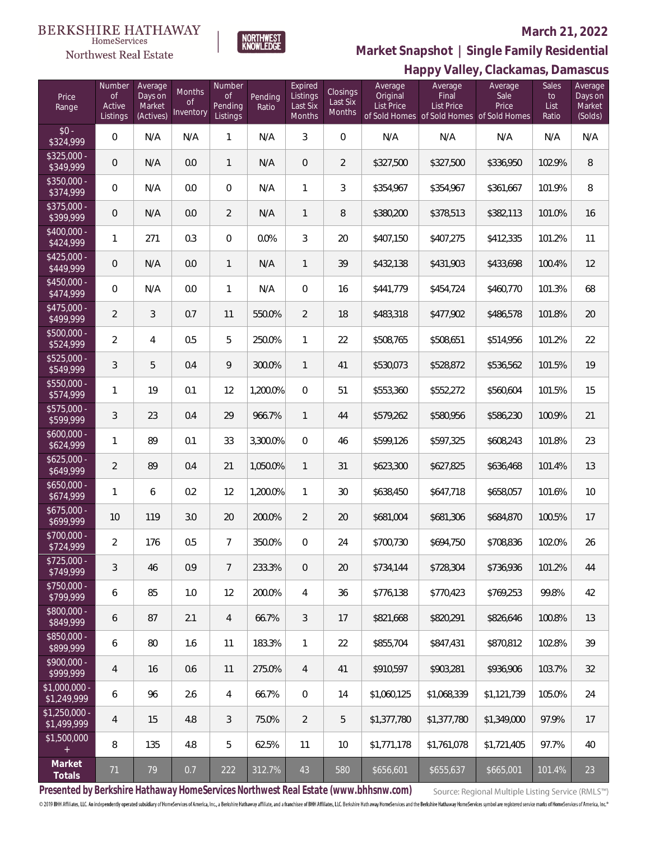Northwest Real Estate



### **March 21, 2022**

**Happy Valley, Clackamas, Damascus Market Snapshot | Single Family Residential**

| Price<br>Range                | Number<br><b>of</b><br>Active<br>Listings | Average<br>Days on<br>Market<br>(Actives) | Months<br><b>of</b><br>Inventory | Number<br>$\circ$ f<br>Pending<br>Listings | Pending<br>Ratio | Expired<br>Listings<br>Last Six<br>Months | <b>Closings</b><br>Last Six<br><b>Months</b> | Average<br>Original<br><b>List Price</b> | $\cdots \sim \sim \sim$ 1<br>Average<br>Final<br>List Price<br>of Sold Homes of Sold Homes of Sold Homes | $\frac{1}{2}$<br>Average<br>Sale<br>Price | <b>Sales</b><br>to<br>List<br>Ratio | Average<br>Days on<br>Market<br>(Solds) |
|-------------------------------|-------------------------------------------|-------------------------------------------|----------------------------------|--------------------------------------------|------------------|-------------------------------------------|----------------------------------------------|------------------------------------------|----------------------------------------------------------------------------------------------------------|-------------------------------------------|-------------------------------------|-----------------------------------------|
| $$0 -$<br>\$324,999           | 0                                         | N/A                                       | N/A                              | $\mathbf{1}$                               | N/A              | $\mathfrak{Z}$                            | $\mathbf 0$                                  | N/A                                      | N/A                                                                                                      | N/A                                       | N/A                                 | N/A                                     |
| \$325,000 -<br>\$349,999      | 0                                         | N/A                                       | 0.0                              | 1                                          | N/A              | $\overline{0}$                            | $\overline{a}$                               | \$327,500                                | \$327,500                                                                                                | \$336,950                                 | 102.9%                              | $\, 8$                                  |
| \$350,000 -<br>\$374,999      | $\mathbf 0$                               | N/A                                       | 0.0                              | $\boldsymbol{0}$                           | N/A              | $\mathbf{1}$                              | 3                                            | \$354,967                                | \$354,967                                                                                                | \$361,667                                 | 101.9%                              | 8                                       |
| \$375,000 -<br>\$399,999      | 0                                         | N/A                                       | 0.0                              | $\overline{2}$                             | N/A              | $\mathbf{1}$                              | 8                                            | \$380,200                                | \$378,513                                                                                                | \$382,113                                 | 101.0%                              | 16                                      |
| $$400,000 -$<br>\$424,999     | 1                                         | 271                                       | 0.3                              | $\boldsymbol{0}$                           | 0.0%             | $\mathfrak{Z}$                            | 20                                           | \$407,150                                | \$407,275                                                                                                | \$412,335                                 | 101.2%                              | 11                                      |
| $$425,000 -$<br>\$449,999     | 0                                         | N/A                                       | 0.0                              | 1                                          | N/A              | $\mathbf{1}$                              | 39                                           | \$432,138                                | \$431,903                                                                                                | \$433,698                                 | 100.4%                              | 12                                      |
| \$450,000 -<br>\$474,999      | 0                                         | N/A                                       | 0.0                              | $\mathbf{1}$                               | N/A              | $\mathbf 0$                               | 16                                           | \$441,779                                | \$454,724                                                                                                | \$460,770                                 | 101.3%                              | 68                                      |
| \$475,000 -<br>\$499,999      | $\overline{2}$                            | $\mathfrak{Z}$                            | 0.7                              | 11                                         | 550.0%           | $\overline{2}$                            | 18                                           | \$483,318                                | \$477,902                                                                                                | \$486,578                                 | 101.8%                              | 20                                      |
| \$500,000 -<br>\$524,999      | $\overline{2}$                            | 4                                         | 0.5                              | 5                                          | 250.0%           | 1                                         | 22                                           | \$508,765                                | \$508,651                                                                                                | \$514,956                                 | 101.2%                              | 22                                      |
| \$525,000 -<br>\$549,999      | 3                                         | 5                                         | 0.4                              | 9                                          | 300.0%           | $\mathbf{1}$                              | 41                                           | \$530,073                                | \$528,872                                                                                                | \$536,562                                 | 101.5%                              | 19                                      |
| \$550,000 -<br>\$574,999      | 1                                         | 19                                        | 0.1                              | 12                                         | 1,200.0%         | $\mathbf 0$                               | 51                                           | \$553,360                                | \$552,272                                                                                                | \$560,604                                 | 101.5%                              | 15                                      |
| $$575,000 -$<br>\$599,999     | 3                                         | 23                                        | 0.4                              | 29                                         | 966.7%           | $\mathbf{1}$                              | 44                                           | \$579,262                                | \$580,956                                                                                                | \$586,230                                 | 100.9%                              | 21                                      |
| \$600,000 -<br>\$624,999      | 1                                         | 89                                        | 0.1                              | 33                                         | 3,300.0%         | $\overline{0}$                            | 46                                           | \$599,126                                | \$597,325                                                                                                | \$608,243                                 | 101.8%                              | 23                                      |
| $$625,000 -$<br>\$649,999     | $\overline{2}$                            | 89                                        | 0.4                              | 21                                         | 1,050.0%         | $\mathbf{1}$                              | 31                                           | \$623,300                                | \$627,825                                                                                                | \$636,468                                 | 101.4%                              | 13                                      |
| $$650.000 -$<br>\$674,999     | 1                                         | 6                                         | 0.2                              | 12                                         | 1,200.0%         | 1                                         | 30                                           | \$638,450                                | \$647,718                                                                                                | \$658,057                                 | 101.6%                              | $10$                                    |
| $$675,000 -$<br>\$699,999     | $10$                                      | 119                                       | 3.0                              | 20                                         | 200.0%           | $\overline{2}$                            | 20                                           | \$681,004                                | \$681,306                                                                                                | \$684,870                                 | 100.5%                              | 17                                      |
| \$700,000 -<br>\$724,999      | $\overline{2}$                            | 176                                       | 0.5                              | 7                                          | 350.0%           | 0                                         | 24                                           | \$700,730                                | \$694,750                                                                                                | \$708,836                                 | 102.0%                              | 26                                      |
| $$725,000 -$<br>\$749,999     | 3                                         | 46                                        | 0.9                              | $\overline{7}$                             | 233.3%           | $\overline{0}$                            | 20                                           | \$734,144                                | \$728,304                                                                                                | \$736,936                                 | 101.2%                              | 44                                      |
| \$750,000 -<br>\$799,999      | 6                                         | 85                                        | 1.0                              | 12                                         | 200.0%           | $\overline{4}$                            | 36                                           | \$776,138                                | \$770,423                                                                                                | \$769,253                                 | 99.8%                               | 42                                      |
| \$800,000 -<br>\$849,999      | 6                                         | 87                                        | 2.1                              | 4                                          | 66.7%            | 3                                         | 17                                           | \$821,668                                | \$820,291                                                                                                | \$826,646                                 | 100.8%                              | 13                                      |
| \$850,000 -<br>\$899,999      | 6                                         | 80                                        | 1.6                              | 11                                         | 183.3%           | $\mathbf{1}$                              | 22                                           | \$855,704                                | \$847,431                                                                                                | \$870,812                                 | 102.8%                              | 39                                      |
| \$900,000 -<br>\$999,999      | $\overline{4}$                            | 16                                        | 0.6                              | 11                                         | 275.0%           | $\overline{4}$                            | 41                                           | \$910,597                                | \$903,281                                                                                                | \$936,906                                 | 103.7%                              | 32                                      |
| $$1,000,000$ -<br>\$1,249,999 | 6                                         | 96                                        | 2.6                              | 4                                          | 66.7%            | $\overline{0}$                            | 14                                           | \$1,060,125                              | \$1,068,339                                                                                              | \$1,121,739                               | 105.0%                              | 24                                      |
| \$1,250,000 -<br>\$1,499,999  | $\overline{4}$                            | 15                                        | 4.8                              | 3                                          | 75.0%            | $\overline{2}$                            | 5                                            | \$1,377,780                              | \$1,377,780                                                                                              | \$1,349,000                               | 97.9%                               | 17                                      |
| \$1,500,000                   | 8                                         | 135                                       | 4.8                              | 5                                          | 62.5%            | 11                                        | 10                                           | \$1,771,178                              | \$1,761,078                                                                                              | \$1,721,405                               | 97.7%                               | 40                                      |
| Market<br>Totals              | 71                                        | 79                                        | 0.7                              | 222                                        | 312.7%           | 43                                        | 580                                          | \$656,601                                | \$655,637                                                                                                | \$665,001                                 | 101.4%                              | 23                                      |

**Presented by Berkshire Hathaway HomeServices Northwest Real Estate (www.bhhsnw.com)**

Source: Regional Multiple Listing Service (RMLS™)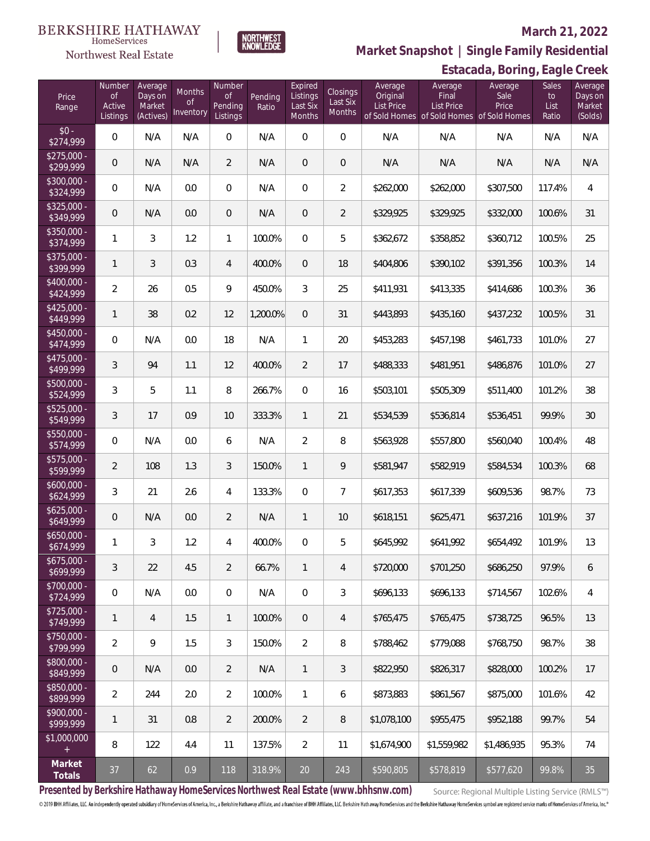#### **BERKSHIRE HATHAWAY** HomeServices

# Northwest Real Estate

## **March 21, 2022**



**Estacada, Boring, Eagle Creek Market Snapshot | Single Family Residential**

| Price<br>Range                   | Number<br><b>of</b><br>Active<br>Listings | Average<br>Days on<br>Market<br>(Actives) | Months<br>0f<br>Inventory | Number<br><b>of</b><br>Pending<br>Listings | Pending<br>Ratio | Expired<br>Listings<br>Last Six<br>Months | Closings<br>Last Six<br><b>Months</b> | Average<br>Original<br><b>List Price</b> | Average<br>Final<br><b>List Price</b><br>of Sold Homes of Sold Homes of Sold Homes | Average<br>Sale<br>Price | Sales<br>to<br>List<br>Ratio | Average<br>Days on<br>Market<br>(Solds) |
|----------------------------------|-------------------------------------------|-------------------------------------------|---------------------------|--------------------------------------------|------------------|-------------------------------------------|---------------------------------------|------------------------------------------|------------------------------------------------------------------------------------|--------------------------|------------------------------|-----------------------------------------|
| $$0 -$<br>\$274,999              | 0                                         | N/A                                       | N/A                       | $\overline{0}$                             | N/A              | $\overline{0}$                            | $\mathbf{0}$                          | N/A                                      | N/A                                                                                | N/A                      | N/A                          | N/A                                     |
| $$275,000 -$<br>\$299,999        | $\mathbf 0$                               | N/A                                       | N/A                       | $\overline{2}$                             | N/A              | $\mathbf{0}$                              | $\overline{0}$                        | N/A                                      | N/A                                                                                | N/A                      | N/A                          | N/A                                     |
| $\sqrt{$300,000}$ -<br>\$324,999 | 0                                         | N/A                                       | 0.0                       | 0                                          | N/A              | $\mathbf{0}$                              | $\overline{2}$                        | \$262,000                                | \$262,000                                                                          | \$307,500                | 117.4%                       | 4                                       |
| $$325,000 -$<br>\$349,999        | $\mathbf 0$                               | N/A                                       | 0.0                       | $\overline{0}$                             | N/A              | $\mathbf{0}$                              | $\overline{2}$                        | \$329,925                                | \$329,925                                                                          | \$332,000                | 100.6%                       | 31                                      |
| $$350,000 -$<br>\$374,999        | $\mathbf{1}$                              | 3                                         | 1.2                       | $\mathbf{1}$                               | 100.0%           | $\mathbf{0}$                              | 5                                     | \$362,672                                | \$358,852                                                                          | \$360,712                | 100.5%                       | 25                                      |
| $$375,000 -$<br>\$399,999        | 1                                         | 3                                         | 0.3                       | $\overline{4}$                             | 400.0%           | $\mathbf{0}$                              | 18                                    | \$404,806                                | \$390,102                                                                          | \$391,356                | 100.3%                       | 14                                      |
| $$400.000 -$<br>\$424,999        | $\overline{2}$                            | 26                                        | 0.5                       | 9                                          | 450.0%           | 3                                         | 25                                    | \$411,931                                | \$413,335                                                                          | \$414,686                | 100.3%                       | 36                                      |
| $$425,000 -$<br>\$449,999        | 1                                         | 38                                        | 0.2                       | 12                                         | 1,200.0%         | $\mathbf{0}$                              | 31                                    | \$443,893                                | \$435,160                                                                          | \$437,232                | 100.5%                       | 31                                      |
| \$450,000 -<br>\$474,999         | 0                                         | N/A                                       | 0.0                       | 18                                         | N/A              | $\mathbf{1}$                              | 20                                    | \$453,283                                | \$457,198                                                                          | \$461,733                | 101.0%                       | 27                                      |
| $$475,000 -$<br>\$499,999        | 3                                         | 94                                        | 1.1                       | 12                                         | 400.0%           | $\overline{2}$                            | 17                                    | \$488,333                                | \$481,951                                                                          | \$486,876                | 101.0%                       | 27                                      |
| \$500,000 -<br>\$524,999         | 3                                         | 5                                         | 1.1                       | 8                                          | 266.7%           | $\overline{0}$                            | 16                                    | \$503,101                                | \$505,309                                                                          | \$511,400                | 101.2%                       | 38                                      |
| \$525,000 -<br>\$549,999         | 3                                         | 17                                        | 0.9                       | 10                                         | 333.3%           | $\mathbf{1}$                              | 21                                    | \$534,539                                | \$536,814                                                                          | \$536,451                | 99.9%                        | 30                                      |
| \$550,000 -<br>\$574,999         | 0                                         | N/A                                       | 0.0                       | 6                                          | N/A              | $\overline{2}$                            | 8                                     | \$563,928                                | \$557,800                                                                          | \$560,040                | 100.4%                       | 48                                      |
| \$575,000 -<br>\$599,999         | $\overline{2}$                            | 108                                       | 1.3                       | 3                                          | 150.0%           | $\mathbf{1}$                              | 9                                     | \$581,947                                | \$582,919                                                                          | \$584,534                | 100.3%                       | 68                                      |
| $$600,000 -$<br>\$624,999        | 3                                         | 21                                        | 2.6                       | 4                                          | 133.3%           | $\overline{0}$                            | $\overline{7}$                        | \$617,353                                | \$617,339                                                                          | \$609,536                | 98.7%                        | 73                                      |
| $$625,000 -$<br>\$649,999        | $\mathbf 0$                               | N/A                                       | 0.0                       | $\overline{2}$                             | N/A              | $\mathbf{1}$                              | 10                                    | \$618,151                                | \$625,471                                                                          | \$637,216                | 101.9%                       | 37                                      |
| \$650,000 -<br>\$674,999         | 1                                         | 3                                         | 1.2                       | 4                                          | 400.0%           | $\overline{0}$                            | 5                                     | \$645,992                                | \$641,992                                                                          | \$654,492                | 101.9%                       | 13                                      |
| $$675,000 -$<br>\$699,999        | 3                                         | 22                                        | 4.5                       | $\overline{2}$                             | 66.7%            | $\mathbf{1}$                              | 4                                     | \$720,000                                | \$701,250                                                                          | \$686,250                | 97.9%                        | 6                                       |
| $$700,000 -$<br>\$724,999        | $\mathbf 0$                               | N/A                                       | 0.0                       | 0                                          | N/A              | $\overline{0}$                            | 3                                     | \$696,133                                | \$696,133                                                                          | \$714,567                | 102.6%                       | 4                                       |
| $$725,000 -$<br>\$749,999        | 1                                         | 4                                         | 1.5                       | $\mathbf{1}$                               | 100.0%           | $\mathbf{0}$                              | 4                                     | \$765,475                                | \$765,475                                                                          | \$738,725                | 96.5%                        | 13                                      |
| $$750,000 -$<br>\$799,999        | $\overline{2}$                            | 9                                         | 1.5                       | 3                                          | 150.0%           | $\overline{2}$                            | 8                                     | \$788,462                                | \$779,088                                                                          | \$768,750                | 98.7%                        | 38                                      |
| \$800,000 -<br>\$849,999         | $\theta$                                  | N/A                                       | 0.0                       | $\overline{2}$                             | N/A              | $\mathbf{1}$                              | 3                                     | \$822,950                                | \$826,317                                                                          | \$828,000                | 100.2%                       | 17                                      |
| \$850,000 -<br>\$899,999         | $\overline{2}$                            | 244                                       | 2.0                       | $\overline{2}$                             | 100.0%           | $\mathbf{1}$                              | 6                                     | \$873,883                                | \$861,567                                                                          | \$875,000                | 101.6%                       | 42                                      |
| \$900,000 -<br>\$999,999         | $\mathbf{1}$                              | 31                                        | 0.8                       | $\overline{2}$                             | 200.0%           | $\overline{2}$                            | 8                                     | \$1,078,100                              | \$955,475                                                                          | \$952,188                | 99.7%                        | 54                                      |
| \$1,000,000<br>$+$               | 8                                         | 122                                       | 4.4                       | 11                                         | 137.5%           | $\overline{2}$                            | 11                                    | \$1,674,900                              | \$1,559,982                                                                        | \$1,486,935              | 95.3%                        | 74                                      |
| Market<br>Totals                 | 37                                        | 62                                        | 0.9                       | 118                                        | 318.9%           | 20                                        | 243                                   | \$590,805                                | \$578,819                                                                          | \$577,620                | 99.8%                        | 35                                      |

**Presented by Berkshire Hathaway HomeServices Northwest Real Estate (www.bhhsnw.com)**

Source: Regional Multiple Listing Service (RMLS™)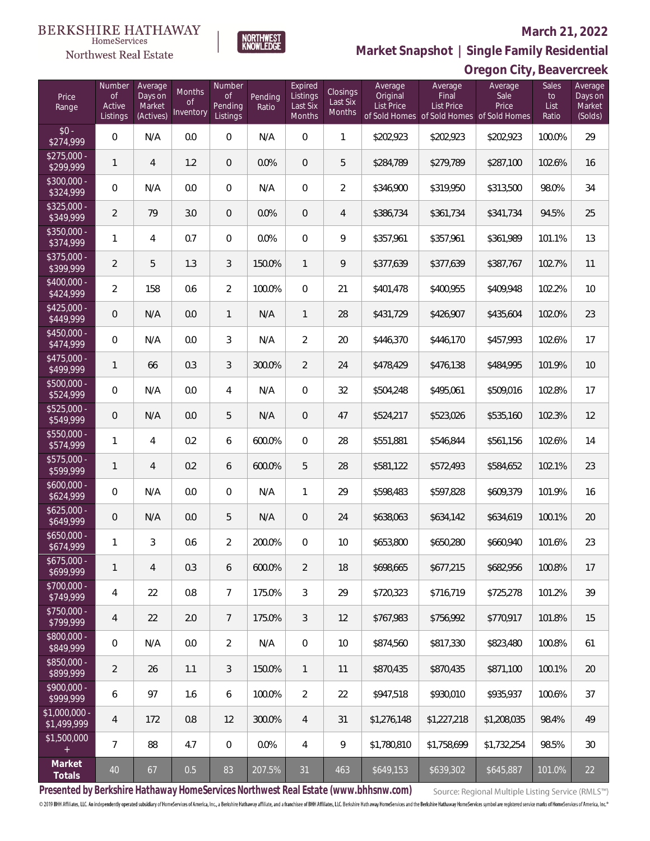# Northwest Real Estate

## **March 21, 2022**



# **Oregon City, Beavercreek Market Snapshot | Single Family Residential**

| Price<br>Range               | Number<br><b>of</b><br>Active<br>Listings | Average<br>Days on<br>Market<br>(Actives) | Months<br><b>of</b><br>Inventory | Number<br><b>of</b><br>Pending<br>Listings | Pending<br>Ratio | Expired<br>Listings<br>Last Six<br>Months | Closings<br>Last Six<br>Months | Average<br>Original<br><b>List Price</b> | Average<br>Final<br><b>List Price</b> | Average<br>Sale<br>Price<br>of Sold Homes of Sold Homes of Sold Homes | Sales<br>to<br>List<br>Ratio | Average<br>Days on<br>Market<br>(Solds) |
|------------------------------|-------------------------------------------|-------------------------------------------|----------------------------------|--------------------------------------------|------------------|-------------------------------------------|--------------------------------|------------------------------------------|---------------------------------------|-----------------------------------------------------------------------|------------------------------|-----------------------------------------|
| $$0 -$<br>\$274,999          | $\overline{0}$                            | N/A                                       | 0.0                              | $\mathbf 0$                                | N/A              | $\mathbf 0$                               | $\mathbf{1}$                   | \$202,923                                | \$202,923                             | \$202,923                                                             | 100.0%                       | 29                                      |
| \$275,000 -<br>\$299,999     | $\mathbf{1}$                              | 4                                         | 1.2                              | $\overline{0}$                             | 0.0%             | $\boldsymbol{0}$                          | 5                              | \$284,789                                | \$279,789                             | \$287,100                                                             | 102.6%                       | 16                                      |
| \$300,000 -<br>\$324,999     | 0                                         | N/A                                       | 0.0                              | $\overline{0}$                             | N/A              | $\boldsymbol{0}$                          | $\overline{2}$                 | \$346,900                                | \$319,950                             | \$313,500                                                             | 98.0%                        | 34                                      |
| \$325,000 -<br>\$349,999     | $\overline{2}$                            | 79                                        | 3.0                              | $\overline{0}$                             | 0.0%             | $\mathbf 0$                               | $\overline{4}$                 | \$386,734                                | \$361,734                             | \$341,734                                                             | 94.5%                        | 25                                      |
| $$350,000 -$<br>\$374,999    | 1                                         | 4                                         | 0.7                              | $\mathbf{0}$                               | 0.0%             | 0                                         | 9                              | \$357,961                                | \$357,961                             | \$361,989                                                             | 101.1%                       | 13                                      |
| $$375,000 -$<br>\$399,999    | $\overline{a}$                            | 5                                         | 1.3                              | 3                                          | 150.0%           | $\mathbf{1}$                              | 9                              | \$377,639                                | \$377,639                             | \$387,767                                                             | 102.7%                       | 11                                      |
| $$400.000 -$<br>\$424,999    | $\overline{2}$                            | 158                                       | 0.6                              | $\overline{2}$                             | 100.0%           | $\overline{0}$                            | 21                             | \$401,478                                | \$400,955                             | \$409,948                                                             | 102.2%                       | 10                                      |
| $$425.000 -$<br>\$449,999    | 0                                         | N/A                                       | 0.0                              | $\mathbf{1}$                               | N/A              | $\mathbf{1}$                              | 28                             | \$431,729                                | \$426,907                             | \$435,604                                                             | 102.0%                       | 23                                      |
| $$450,000 -$<br>\$474,999    | $\overline{0}$                            | N/A                                       | 0.0                              | 3                                          | N/A              | $\overline{2}$                            | 20                             | \$446,370                                | \$446,170                             | \$457,993                                                             | 102.6%                       | 17                                      |
| \$475,000 -<br>\$499,999     | 1                                         | 66                                        | 0.3                              | 3                                          | 300.0%           | $\overline{2}$                            | 24                             | \$478,429                                | \$476,138                             | \$484,995                                                             | 101.9%                       | 10                                      |
| \$500,000 -<br>\$524,999     | $\overline{0}$                            | N/A                                       | 0.0                              | 4                                          | N/A              | 0                                         | 32                             | \$504,248                                | \$495,061                             | \$509,016                                                             | 102.8%                       | 17                                      |
| \$525,000 -<br>\$549,999     | 0                                         | N/A                                       | 0.0                              | 5                                          | N/A              | $\overline{0}$                            | 47                             | \$524,217                                | \$523,026                             | \$535,160                                                             | 102.3%                       | 12                                      |
| \$550,000 -<br>\$574,999     | 1                                         | 4                                         | 0.2                              | 6                                          | 600.0%           | $\overline{0}$                            | 28                             | \$551,881                                | \$546,844                             | \$561,156                                                             | 102.6%                       | 14                                      |
| \$575,000 -<br>\$599,999     | 1                                         | $\overline{4}$                            | 0.2                              | 6                                          | 600.0%           | 5                                         | 28                             | \$581,122                                | \$572,493                             | \$584,652                                                             | 102.1%                       | 23                                      |
| \$600,000 -<br>\$624,999     | $\mathsf{O}\xspace$                       | N/A                                       | 0.0                              | $\overline{0}$                             | N/A              | $\mathbf{1}$                              | 29                             | \$598,483                                | \$597,828                             | \$609,379                                                             | 101.9%                       | 16                                      |
| $$625,000 -$<br>\$649,999    | $\overline{0}$                            | N/A                                       | 0.0                              | 5                                          | N/A              | $\overline{0}$                            | 24                             | \$638,063                                | \$634,142                             | \$634,619                                                             | 100.1%                       | 20                                      |
| \$650,000 -<br>\$674,999     | 1                                         | 3                                         | 0.6                              | $\overline{2}$                             | 200.0%           | $\boldsymbol{0}$                          | 10                             | \$653,800                                | \$650,280                             | \$660,940                                                             | 101.6%                       | 23                                      |
| $$675,000 -$<br>\$699,999    | 1                                         | 4                                         | 0.3                              | 6                                          | 600.0%           | 2                                         | 18                             | \$698,665                                | \$677,215                             | \$682,956                                                             | 100.8%                       | 17                                      |
| $$700,000 -$<br>\$749,999    | 4                                         | 22                                        | 0.8                              | $\overline{7}$                             | 175.0%           | 3                                         | 29                             | \$720,323                                | \$716,719                             | \$725,278                                                             | 101.2%                       | 39                                      |
| \$750,000 -<br>\$799,999     | 4                                         | 22                                        | 2.0                              | $7\phantom{.}$                             | 175.0%           | 3                                         | 12                             | \$767,983                                | \$756,992                             | \$770,917                                                             | 101.8%                       | 15                                      |
| \$800,000 -<br>\$849,999     | $\mathbf 0$                               | N/A                                       | 0.0                              | $\overline{2}$                             | N/A              | $\boldsymbol{0}$                          | 10                             | \$874,560                                | \$817,330                             | \$823,480                                                             | 100.8%                       | 61                                      |
| \$850,000 -<br>\$899,999     | $\overline{2}$                            | 26                                        | 1.1                              | 3                                          | 150.0%           | $\mathbf{1}$                              | 11                             | \$870,435                                | \$870,435                             | \$871,100                                                             | 100.1%                       | 20                                      |
| \$900,000 -<br>\$999,999     | 6                                         | 97                                        | 1.6                              | 6                                          | 100.0%           | $\overline{2}$                            | 22                             | \$947,518                                | \$930,010                             | \$935,937                                                             | 100.6%                       | 37                                      |
| \$1,000,000 -<br>\$1,499,999 | $\overline{4}$                            | 172                                       | 0.8                              | 12                                         | 300.0%           | $\overline{4}$                            | 31                             | \$1,276,148                              | \$1,227,218                           | \$1,208,035                                                           | 98.4%                        | 49                                      |
| \$1,500,000<br>$+$           | $\overline{7}$                            | 88                                        | 4.7                              | $\overline{0}$                             | 0.0%             | $\overline{4}$                            | 9                              | \$1,780,810                              | \$1,758,699                           | \$1,732,254                                                           | 98.5%                        | 30                                      |
| Market<br>Totals             | 40                                        | 67                                        | 0.5                              | 83                                         | 207.5%           | 31                                        | 463                            | \$649,153                                | \$639,302                             | \$645,887                                                             | 101.0%                       | 22                                      |

**Presented by Berkshire Hathaway HomeServices Northwest Real Estate (www.bhhsnw.com)**

Source: Regional Multiple Listing Service (RMLS™)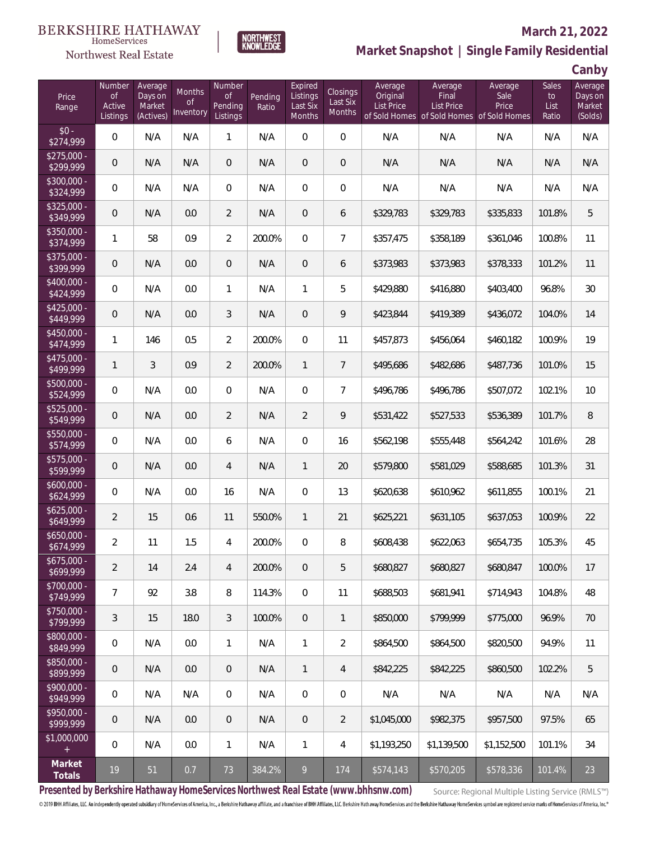# Northwest Real Estate

# **March 21, 2022**



# **Market Snapshot | Single Family Residential**

**Canby**

| Price<br>Range                   | Number<br>$\mathsf{of}$<br>Active<br>Listings | Average<br>Days on<br>Market<br>(Actives) | Months<br><b>of</b><br><b>Inventory</b> | Number<br><b>of</b><br>Pending<br>Listings | Pending<br>Ratio | Expired<br>Listings<br>Last Six<br><b>Months</b> | Closings<br>Last Six<br>Months | Average<br>Original<br><b>List Price</b> | Average<br>Final<br><b>List Price</b><br>of Sold Homes of Sold Homes of Sold Homes | Average<br>Sale<br>Price | <b>Sales</b><br>to<br>List<br>Ratio | Average<br>Days on<br>Market<br>(Solds) |
|----------------------------------|-----------------------------------------------|-------------------------------------------|-----------------------------------------|--------------------------------------------|------------------|--------------------------------------------------|--------------------------------|------------------------------------------|------------------------------------------------------------------------------------|--------------------------|-------------------------------------|-----------------------------------------|
| $$0 -$<br>\$274,999              | $\overline{0}$                                | N/A                                       | N/A                                     | $\mathbf{1}$                               | N/A              | $\Omega$                                         | $\overline{0}$                 | N/A                                      | N/A                                                                                | N/A                      | N/A                                 | N/A                                     |
| $$275,000 -$<br>\$299,999        | 0                                             | N/A                                       | N/A                                     | $\mathbf{0}$                               | N/A              | $\overline{0}$                                   | $\boldsymbol{0}$               | N/A                                      | N/A                                                                                | N/A                      | N/A                                 | N/A                                     |
| $\sqrt{$300,000}$ -<br>\$324,999 | $\overline{0}$                                | N/A                                       | N/A                                     | $\overline{0}$                             | N/A              | $\mathbf{0}$                                     | $\boldsymbol{0}$               | N/A                                      | N/A                                                                                | N/A                      | N/A                                 | N/A                                     |
| \$325,000 -<br>\$349,999         | 0                                             | N/A                                       | 0.0                                     | $\overline{2}$                             | N/A              | $\overline{0}$                                   | 6                              | \$329,783                                | \$329,783                                                                          | \$335,833                | 101.8%                              | 5                                       |
| \$350,000 -<br>\$374,999         | 1                                             | 58                                        | 0.9                                     | $\overline{2}$                             | 200.0%           | $\Omega$                                         | $\overline{7}$                 | \$357,475                                | \$358,189                                                                          | \$361,046                | 100.8%                              | 11                                      |
| \$375,000 -<br>\$399,999         | $\overline{0}$                                | N/A                                       | 0.0                                     | $\overline{0}$                             | N/A              | $\overline{0}$                                   | 6                              | \$373,983                                | \$373,983                                                                          | \$378,333                | 101.2%                              | 11                                      |
| \$400,000 -<br>\$424,999         | $\overline{0}$                                | N/A                                       | 0.0                                     | $\mathbf{1}$                               | N/A              | $\mathbf{1}$                                     | 5                              | \$429,880                                | \$416,880                                                                          | \$403,400                | 96.8%                               | 30                                      |
| $$425,000 -$<br>\$449,999        | $\mathbf 0$                                   | N/A                                       | 0.0                                     | 3                                          | N/A              | $\overline{0}$                                   | 9                              | \$423,844                                | \$419,389                                                                          | \$436,072                | 104.0%                              | 14                                      |
| \$450,000 -<br>\$474,999         | 1                                             | 146                                       | 0.5                                     | $\overline{2}$                             | 200.0%           | $\Omega$                                         | 11                             | \$457,873                                | \$456,064                                                                          | \$460,182                | 100.9%                              | 19                                      |
| $$475,000 -$<br>\$499,999        | $\mathbf{1}$                                  | 3                                         | 0.9                                     | $\overline{2}$                             | 200.0%           | $\mathbf{1}$                                     | $7\overline{ }$                | \$495,686                                | \$482,686                                                                          | \$487,736                | 101.0%                              | 15                                      |
| $$500,000 -$<br>\$524,999        | $\mathbf 0$                                   | N/A                                       | 0.0                                     | $\overline{0}$                             | N/A              | $\overline{0}$                                   | $\overline{7}$                 | \$496,786                                | \$496,786                                                                          | \$507,072                | 102.1%                              | 10                                      |
| \$525,000 -<br>\$549,999         | $\overline{0}$                                | N/A                                       | 0.0                                     | $\overline{2}$                             | N/A              | $\overline{2}$                                   | 9                              | \$531,422                                | \$527,533                                                                          | \$536,389                | 101.7%                              | 8                                       |
| \$550,000 -<br>\$574,999         | $\overline{0}$                                | N/A                                       | 0.0                                     | 6                                          | N/A              | $\overline{0}$                                   | 16                             | \$562,198                                | \$555,448                                                                          | \$564,242                | 101.6%                              | 28                                      |
| \$575,000 -<br>\$599,999         | $\overline{0}$                                | N/A                                       | 0.0                                     | $\overline{4}$                             | N/A              | $\mathbf{1}$                                     | 20                             | \$579,800                                | \$581,029                                                                          | \$588,685                | 101.3%                              | 31                                      |
| $$600,000 -$<br>\$624,999        | $\mathbf 0$                                   | N/A                                       | 0.0                                     | 16                                         | N/A              | $\overline{0}$                                   | 13                             | \$620,638                                | \$610,962                                                                          | \$611,855                | 100.1%                              | 21                                      |
| $$625,000 -$<br>\$649,999        | $\overline{2}$                                | 15                                        | 0.6                                     | 11                                         | 550.0%           | $\mathbf{1}$                                     | 21                             | \$625,221                                | \$631,105                                                                          | \$637,053                | 100.9%                              | 22                                      |
| $$650,000 -$<br>\$674,999        | $\overline{2}$                                | 11                                        | 1.5                                     | 4                                          | 200.0%           | $\overline{0}$                                   | 8                              | \$608,438                                | \$622,063                                                                          | \$654,735                | 105.3%                              | 45                                      |
| $$675,000 -$<br>\$699,999        | $\overline{2}$                                | 14                                        | 2.4                                     | 4                                          | 200.0%           | $\overline{0}$                                   | 5                              | \$680,827                                | \$680,827                                                                          | \$680,847                | 100.0%                              | 17                                      |
| \$700,000 -<br>\$749,999         | $\overline{7}$                                | 92                                        | 3.8                                     | 8                                          | 114.3%           | $\mathbf 0$                                      | 11                             | \$688,503                                | \$681,941                                                                          | \$714,943                | 104.8%                              | 48                                      |
| \$750,000 -<br>\$799,999         | 3                                             | 15                                        | 18.0                                    | $\mathfrak{Z}$                             | 100.0%           | $\mathbf 0$                                      | $\mathbf{1}$                   | \$850,000                                | \$799,999                                                                          | \$775,000                | 96.9%                               | 70                                      |
| \$800,000 -<br>\$849,999         | $\,0\,$                                       | N/A                                       | 0.0                                     | $\mathbf{1}$                               | N/A              | $\mathbf{1}$                                     | $\overline{2}$                 | \$864,500                                | \$864,500                                                                          | \$820,500                | 94.9%                               | 11                                      |
| \$850,000 -<br>\$899,999         | $\mathbf 0$                                   | N/A                                       | 0.0                                     | $\mathbf{0}$                               | N/A              | $\mathbf{1}$                                     | $\overline{4}$                 | \$842,225                                | \$842,225                                                                          | \$860,500                | 102.2%                              | 5                                       |
| \$900,000 -<br>\$949,999         | $\,0\,$                                       | N/A                                       | N/A                                     | $\mathbf 0$                                | N/A              | $\mathbf 0$                                      | $\mathbf 0$                    | N/A                                      | N/A                                                                                | N/A                      | N/A                                 | N/A                                     |
| \$950,000 -<br>\$999,999         | $\mathbf 0$                                   | N/A                                       | 0.0                                     | $\,0\,$                                    | N/A              | $\mathbf 0$                                      | $\overline{2}$                 | \$1,045,000                              | \$982,375                                                                          | \$957,500                | 97.5%                               | 65                                      |
| \$1,000,000<br>$+$               | $\mathbf 0$                                   | N/A                                       | 0.0                                     | $\mathbf{1}$                               | N/A              | $\mathbf{1}$                                     | 4                              | \$1,193,250                              | \$1,139,500                                                                        | \$1,152,500              | 101.1%                              | 34                                      |
| Market<br>Totals                 | 19                                            | 51                                        | 0.7                                     | 73                                         | 384.2%           | 9                                                | 174                            | \$574,143                                | \$570,205                                                                          | \$578,336                | 101.4%                              | 23                                      |

**Presented by Berkshire Hathaway HomeServices Northwest Real Estate (www.bhhsnw.com)**

Source: Regional Multiple Listing Service (RMLS™)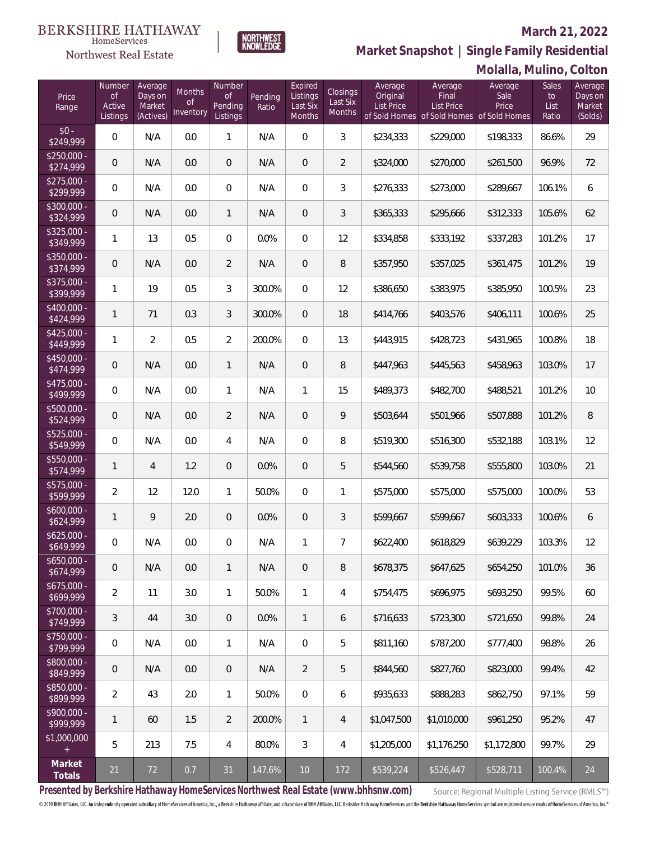# Northwest Real Estate

## **March 21, 2022**



| Price<br>Range            | Number<br><b>of</b><br>Active<br>Listings | Average<br>Days on<br>Market<br>(Actives) | Months<br><b>of</b><br>Inventory | Number<br>of<br>Pending<br>Listings | Pending<br>Ratio | Expired<br>Listings<br>Last Six<br>Months | Closings<br>Last Six<br>Months | Average<br>Original<br><b>List Price</b> | Average<br>Final<br><b>List Price</b> | $\cdots$<br>Average<br>Sale<br>Price<br>of Sold Homes of Sold Homes of Sold Homes | Sales<br>to<br>List<br>Ratio | Average<br>Days on<br>Market<br>(Solds) |
|---------------------------|-------------------------------------------|-------------------------------------------|----------------------------------|-------------------------------------|------------------|-------------------------------------------|--------------------------------|------------------------------------------|---------------------------------------|-----------------------------------------------------------------------------------|------------------------------|-----------------------------------------|
| $$0 -$<br>\$249,999       | $\mathbf 0$                               | N/A                                       | 0.0                              | 1                                   | N/A              | $\mathsf{O}\xspace$                       | 3                              | \$234,333                                | \$229,000                             | \$198,333                                                                         | 86.6%                        | 29                                      |
| $$250,000 -$<br>\$274,999 | 0                                         | N/A                                       | 0.0                              | $\mathbf 0$                         | N/A              | $\mathbf 0$                               | $\overline{2}$                 | \$324,000                                | \$270,000                             | \$261,500                                                                         | 96.9%                        | 72                                      |
| $$275,000 -$<br>\$299,999 | $\mathbf 0$                               | N/A                                       | 0.0                              | $\boldsymbol{0}$                    | N/A              | 0                                         | 3                              | \$276,333                                | \$273,000                             | \$289,667                                                                         | 106.1%                       | 6                                       |
| $$300,000 -$<br>\$324,999 | 0                                         | N/A                                       | 0.0                              | $\mathbf{1}$                        | N/A              | $\boldsymbol{0}$                          | 3                              | \$365,333                                | \$295,666                             | \$312,333                                                                         | 105.6%                       | 62                                      |
| $$325,000 -$<br>\$349,999 | 1                                         | 13                                        | 0.5                              | $\boldsymbol{0}$                    | 0.0%             | $\mathbb O$                               | 12                             | \$334,858                                | \$333,192                             | \$337,283                                                                         | 101.2%                       | 17                                      |
| $$350,000 -$<br>\$374,999 | 0                                         | N/A                                       | 0.0                              | $\overline{2}$                      | N/A              | $\mathbf 0$                               | 8                              | \$357,950                                | \$357,025                             | \$361,475                                                                         | 101.2%                       | 19                                      |
| $$375,000 -$<br>\$399,999 | 1                                         | 19                                        | 0.5                              | 3                                   | 300.0%           | $\overline{0}$                            | 12                             | \$386,650                                | \$383,975                             | \$385,950                                                                         | 100.5%                       | 23                                      |
| \$400,000 -<br>\$424,999  | $\mathbf{1}$                              | 71                                        | 0.3                              | 3                                   | 300.0%           | $\overline{0}$                            | 18                             | \$414,766                                | \$403,576                             | \$406,111                                                                         | 100.6%                       | 25                                      |
| $$425,000 -$<br>\$449,999 | 1                                         | $\overline{2}$                            | 0.5                              | $\overline{2}$                      | 200.0%           | $\overline{0}$                            | 13                             | \$443,915                                | \$428,723                             | \$431,965                                                                         | 100.8%                       | 18                                      |
| $$450,000 -$<br>\$474,999 | 0                                         | N/A                                       | 0.0                              | $\mathbf{1}$                        | N/A              | $\boldsymbol{0}$                          | 8                              | \$447,963                                | \$445,563                             | \$458,963                                                                         | 103.0%                       | 17                                      |
| $$475,000 -$<br>\$499,999 | $\mathbf 0$                               | N/A                                       | 0.0                              | 1                                   | N/A              | $\mathbf{1}$                              | 15                             | \$489,373                                | \$482,700                             | \$488,521                                                                         | 101.2%                       | 10                                      |
| $$500,000 -$<br>\$524,999 | $\mathbf 0$                               | N/A                                       | 0.0                              | $\overline{2}$                      | N/A              | $\boldsymbol{0}$                          | 9                              | \$503,644                                | \$501,966                             | \$507,888                                                                         | 101.2%                       | $\, 8$                                  |
| $$525,000 -$<br>\$549,999 | 0                                         | N/A                                       | 0.0                              | 4                                   | N/A              | $\boldsymbol{0}$                          | 8                              | \$519,300                                | \$516,300                             | \$532,188                                                                         | 103.1%                       | 12                                      |
| \$550,000 -<br>\$574,999  | $\mathbf{1}$                              | $\overline{4}$                            | 1.2                              | $\mathbf 0$                         | 0.0%             | $\mathbf 0$                               | 5                              | \$544,560                                | \$539,758                             | \$555,800                                                                         | 103.0%                       | 21                                      |
| $$575,000 -$<br>\$599,999 | $\overline{2}$                            | 12                                        | 12.0                             | 1                                   | 50.0%            | 0                                         | 1                              | \$575,000                                | \$575,000                             | \$575,000                                                                         | 100.0%                       | 53                                      |
| $$600,000 -$<br>\$624,999 | 1                                         | 9                                         | 2.0                              | $\mathbf 0$                         | 0.0%             | 0                                         | 3                              | \$599,667                                | \$599,667                             | \$603,333                                                                         | 100.6%                       | 6                                       |
| $$625,000 -$<br>\$649,999 | 0                                         | N/A                                       | 0.0                              | 0                                   | N/A              | 1                                         | 7                              | \$622,400                                | \$618,829                             | \$639,229                                                                         | 103.3%                       | 12                                      |
| $$650,000 -$<br>\$674,999 | $\mathbf 0$                               | N/A                                       | 0.0                              | 1                                   | N/A              | $\mathbf 0$                               | 8                              | \$678,375                                | \$647,625                             | \$654,250                                                                         | 101.0%                       | 36                                      |
| $$675,000 -$<br>\$699,999 | $\overline{2}$                            | 11                                        | 3.0                              | 1                                   | 50.0%            | $\mathbf{1}$                              | 4                              | \$754,475                                | \$696,975                             | \$693,250                                                                         | 99.5%                        | 60                                      |
| $$700.000 -$<br>\$749,999 | 3                                         | 44                                        | 3.0                              | $\overline{0}$                      | $0.0\%$          | $\mathbf{1}$                              | 6                              | \$716,633                                | \$723,300                             | \$721,650                                                                         | 99.8%                        | 24                                      |
| \$750,000 -<br>\$799,999  | 0                                         | N/A                                       | 0.0                              | 1                                   | N/A              | $\mathbf 0$                               | 5                              | \$811,160                                | \$787,200                             | \$777,400                                                                         | 98.8%                        | 26                                      |
| \$800,000 -<br>\$849,999  | $\mathbf 0$                               | N/A                                       | 0.0                              | $\overline{0}$                      | N/A              | 2                                         | 5                              | \$844,560                                | \$827,760                             | \$823,000                                                                         | 99.4%                        | 42                                      |
| \$850,000 -<br>\$899,999  | $\overline{2}$                            | 43                                        | 2.0                              | 1                                   | 50.0%            | $\mathbb O$                               | 6                              | \$935,633                                | \$888,283                             | \$862,750                                                                         | 97.1%                        | 59                                      |
| $$900,000 -$<br>\$999,999 | 1                                         | 60                                        | 1.5                              | $\overline{2}$                      | 200.0%           | $\mathbf{1}$                              | 4                              | \$1,047,500                              | \$1,010,000                           | \$961,250                                                                         | 95.2%                        | 47                                      |
| \$1,000,000               | 5                                         | 213                                       | 7.5                              | 4                                   | 80.0%            | 3                                         | 4                              | \$1,205,000                              | \$1,176,250                           | \$1,172,800                                                                       | 99.7%                        | 29                                      |
| Market<br>Totals          | 21                                        | 72                                        | 0.7                              | 31                                  | 147.6%           | 10                                        | 172                            | \$539,224                                | \$526,447                             | \$528,711                                                                         | 100.4%                       | 24                                      |

NORTHWEST<br>KNOWLFDGF

**Presented by Berkshire Hathaway HomeServices Northwest Real Estate (www.bhhsnw.com)**

Source: Regional Multiple Listing Service (RMLS™)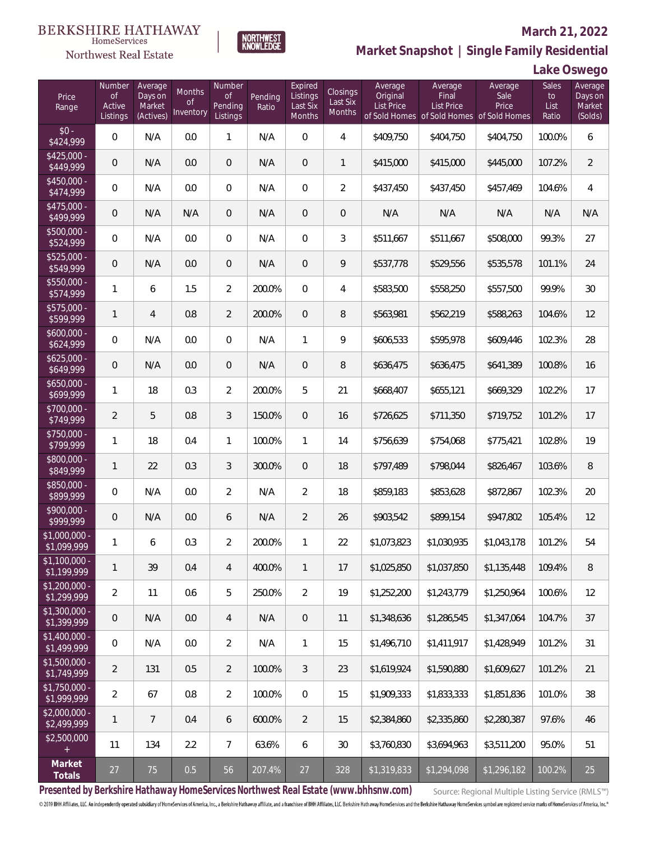# $\begin{array}{llll} \texttt{BERKSHIRE} \texttt{ HATHAWAY} \\ \texttt{\tiny HomeServices} \end{array}$

# Northwest Real Estate

### **March 21, 2022**



|  | Lake Oswego |
|--|-------------|
|--|-------------|

| Price<br>Range                | Number<br><b>of</b><br>Active<br>Listings | Average<br>Days on<br>Market<br>(Actives) | <b>Months</b><br>Οf<br>Inventory | Number<br><b>of</b><br>Pending<br>Listings | Pending<br>Ratio | Expired<br>Listings<br>Last Six<br>Months | Closings<br>Last Six<br>Months | Average<br>Original<br><b>List Price</b> | Average<br>Final<br>List Price<br>of Sold Homes of Sold Homes | Average<br>Sale<br>Price<br>of Sold Homes | Sales<br>to<br>List<br>Ratio | Average<br>Days on<br>Market<br>(Solds) |
|-------------------------------|-------------------------------------------|-------------------------------------------|----------------------------------|--------------------------------------------|------------------|-------------------------------------------|--------------------------------|------------------------------------------|---------------------------------------------------------------|-------------------------------------------|------------------------------|-----------------------------------------|
| $$0 -$<br>\$424,999           | 0                                         | N/A                                       | 0.0                              | 1                                          | N/A              | $\Omega$                                  | $\overline{4}$                 | \$409,750                                | \$404,750                                                     | \$404,750                                 | 100.0%                       | 6                                       |
| $$425,000 -$<br>\$449,999     | 0                                         | N/A                                       | 0.0                              | $\overline{0}$                             | N/A              | 0                                         | $\mathbf{1}$                   | \$415,000                                | \$415,000                                                     | \$445,000                                 | 107.2%                       | $\overline{2}$                          |
| $$450,000 -$<br>\$474,999     | 0                                         | N/A                                       | 0.0                              | $\overline{0}$                             | N/A              | $\overline{0}$                            | $\overline{2}$                 | \$437,450                                | \$437,450                                                     | \$457,469                                 | 104.6%                       | $\overline{4}$                          |
| $$475,000 -$<br>\$499,999     | 0                                         | N/A                                       | N/A                              | $\overline{0}$                             | N/A              | 0                                         | $\overline{0}$                 | N/A                                      | N/A                                                           | N/A                                       | N/A                          | N/A                                     |
| $$500,000 -$<br>\$524,999     | 0                                         | N/A                                       | 0.0                              | $\overline{0}$                             | N/A              | $\overline{0}$                            | 3                              | \$511,667                                | \$511,667                                                     | \$508,000                                 | 99.3%                        | 27                                      |
| $$525,000 -$<br>\$549,999     | 0                                         | N/A                                       | 0.0                              | $\overline{0}$                             | N/A              | $\overline{0}$                            | 9                              | \$537,778                                | \$529,556                                                     | \$535,578                                 | 101.1%                       | 24                                      |
| $$550,000 -$<br>\$574,999     | 1                                         | 6                                         | 1.5                              | $\overline{2}$                             | 200.0%           | $\overline{0}$                            | 4                              | \$583,500                                | \$558,250                                                     | \$557,500                                 | 99.9%                        | 30                                      |
| \$575,000 -<br>\$599,999      | $\mathbf{1}$                              | $\overline{4}$                            | 0.8                              | $\overline{2}$                             | 200.0%           | 0                                         | 8                              | \$563,981                                | \$562,219                                                     | \$588,263                                 | 104.6%                       | 12                                      |
| $$600,000 -$<br>\$624,999     | 0                                         | N/A                                       | 0.0                              | $\overline{0}$                             | N/A              | 1                                         | 9                              | \$606,533                                | \$595,978                                                     | \$609,446                                 | 102.3%                       | 28                                      |
| $$625,000 -$<br>\$649,999     | 0                                         | N/A                                       | 0.0                              | $\overline{0}$                             | N/A              | 0                                         | 8                              | \$636,475                                | \$636,475                                                     | \$641,389                                 | 100.8%                       | 16                                      |
| $$650,000 -$<br>\$699,999     | 1                                         | 18                                        | 0.3                              | $\overline{2}$                             | 200.0%           | 5                                         | 21                             | \$668,407                                | \$655,121                                                     | \$669,329                                 | 102.2%                       | 17                                      |
| $$700,000 -$<br>\$749,999     | $\overline{2}$                            | 5                                         | 0.8                              | 3                                          | 150.0%           | $\overline{0}$                            | 16                             | \$726,625                                | \$711,350                                                     | \$719,752                                 | 101.2%                       | 17                                      |
| \$750,000 -<br>\$799,999      | $\mathbf{1}$                              | 18                                        | 0.4                              | 1                                          | 100.0%           | 1                                         | 14                             | \$756,639                                | \$754,068                                                     | \$775,421                                 | 102.8%                       | 19                                      |
| $$800,000 -$<br>\$849,999     | $\mathbf{1}$                              | 22                                        | 0.3                              | 3                                          | 300.0%           | $\overline{0}$                            | 18                             | \$797,489                                | \$798,044                                                     | \$826,467                                 | 103.6%                       | 8                                       |
| \$850,000 -<br>\$899,999      | 0                                         | N/A                                       | 0.0                              | $\overline{2}$                             | N/A              | $\overline{2}$                            | 18                             | \$859,183                                | \$853,628                                                     | \$872,867                                 | 102.3%                       | 20                                      |
| $$900,000 -$<br>\$999,999     | 0                                         | N/A                                       | 0.0                              | 6                                          | N/A              | $\overline{2}$                            | 26                             | \$903,542                                | \$899,154                                                     | \$947,802                                 | 105.4%                       | 12                                      |
| \$1,000,000 -<br>\$1,099,999  | 1                                         | 6                                         | 0.3                              | $\overline{2}$                             | 200.0%           | 1                                         | 22                             | \$1,073,823                              | \$1,030,935                                                   | \$1,043,178                               | 101.2%                       | 54                                      |
| $$1,100,000 -$<br>\$1,199,999 | $\mathbf{1}$                              | 39                                        | 0.4                              | $\overline{4}$                             | 400.0%           | $\mathbf{1}$                              | 17                             | \$1,025,850                              | \$1,037,850                                                   | \$1,135,448                               | 109.4%                       | 8                                       |
| $$1,200,000 -$<br>\$1,299,999 | $\overline{a}$                            | 11                                        | 0.6                              | 5                                          | 250.0%           | $\overline{2}$                            | 19                             | \$1,252,200                              | \$1,243,779                                                   | \$1,250,964                               | 100.6%                       | 12                                      |
| \$1,300,000 -<br>\$1,399,999  | 0                                         | N/A                                       | 0.0                              | 4                                          | N/A              | $\overline{0}$                            | 11                             | \$1,348,636                              | \$1,286,545                                                   | \$1,347,064                               | 104.7%                       | 37                                      |
| $$1,400,000 -$<br>\$1,499,999 | 0                                         | N/A                                       | 0.0                              | $\overline{2}$                             | N/A              | $\mathbf{1}$                              | 15                             | \$1,496,710                              | \$1,411,917                                                   | \$1,428,949                               | 101.2%                       | 31                                      |
| $$1,500,000 -$<br>\$1,749,999 | $\overline{2}$                            | 131                                       | 0.5                              | $\overline{2}$                             | 100.0%           | 3                                         | 23                             | \$1,619,924                              | \$1,590,880                                                   | \$1,609,627                               | 101.2%                       | 21                                      |
| $$1,750,000 -$<br>\$1,999,999 | $\overline{2}$                            | 67                                        | 0.8                              | $\overline{2}$                             | 100.0%           | $\overline{0}$                            | 15                             | \$1,909,333                              | \$1,833,333                                                   | \$1,851,836                               | 101.0%                       | 38                                      |
| \$2,000,000 -<br>\$2,499,999  | $\mathbf{1}$                              | $7\phantom{.}$                            | 0.4                              | 6                                          | 600.0%           | $\overline{2}$                            | 15                             | \$2,384,860                              | \$2,335,860                                                   | \$2,280,387                               | 97.6%                        | 46                                      |
| \$2,500,000<br>$\pm$          | 11                                        | 134                                       | 2.2                              | $7\overline{ }$                            | 63.6%            | 6                                         | $30\,$                         | \$3,760,830                              | \$3,694,963                                                   | \$3,511,200                               | 95.0%                        | 51                                      |
| Market<br>Totals              | 27                                        | 75                                        | 0.5                              | 56                                         | 207.4%           | $27$                                      | 328                            | \$1,319,833                              | \$1,294,098                                                   | \$1,296,182                               | 100.2%                       | 25                                      |

NORTHWEST<br>KNOWLFDGF

**Presented by Berkshire Hathaway HomeServices Northwest Real Estate (www.bhhsnw.com)**

Source: Regional Multiple Listing Service (RMLS™)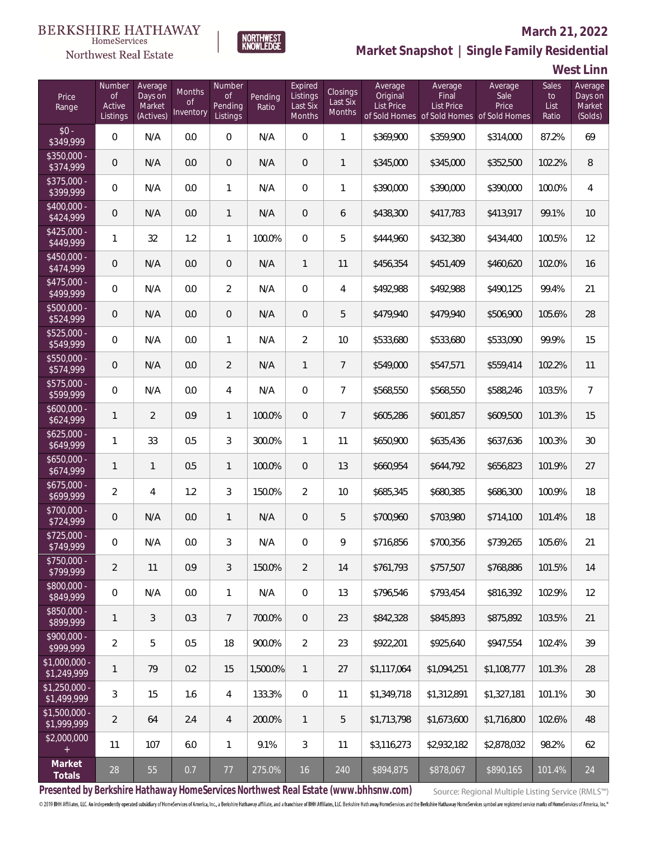# Northwest Real Estate

### **March 21, 2022**



# **Market Snapshot | Single Family Residential**

**West Linn**

| Price<br>Range                   | Number<br><b>of</b><br>Active<br>Listings | Average<br>Days on<br>Market<br>(Actives) | Months<br><b>of</b><br>Inventory | Number<br><b>of</b><br>Pending<br>Listings | Pending<br>Ratio | Expired<br>Listings<br>Last Six<br>Months | Closings<br>Last Six<br>Months | Average<br>Original<br><b>List Price</b> | Average<br>Final<br>List Price<br>of Sold Homes of Sold Homes of Sold Homes | Average<br>Sale<br>Price | Sales<br>to<br>List<br>Ratio | Average<br>Days on<br>Market<br>(Solds) |
|----------------------------------|-------------------------------------------|-------------------------------------------|----------------------------------|--------------------------------------------|------------------|-------------------------------------------|--------------------------------|------------------------------------------|-----------------------------------------------------------------------------|--------------------------|------------------------------|-----------------------------------------|
| $$0 -$<br>\$349,999              | $\overline{0}$                            | N/A                                       | 0.0                              | $\overline{0}$                             | N/A              | $\overline{0}$                            | $\mathbf{1}$                   | \$369,900                                | \$359,900                                                                   | \$314,000                | 87.2%                        | 69                                      |
| $\sqrt{$350,000}$ -<br>\$374,999 | $\overline{0}$                            | N/A                                       | 0.0                              | $\overline{0}$                             | N/A              | $\overline{0}$                            | $\mathbf{1}$                   | \$345,000                                | \$345,000                                                                   | \$352,500                | 102.2%                       | 8                                       |
| $$375,000 -$<br>\$399,999        | $\overline{0}$                            | N/A                                       | 0.0                              | $\mathbf{1}$                               | N/A              | $\overline{0}$                            | $\mathbf{1}$                   | \$390,000                                | \$390,000                                                                   | \$390,000                | 100.0%                       | $\overline{4}$                          |
| $$400,000 -$<br>\$424,999        | $\overline{0}$                            | N/A                                       | 0.0                              | $\mathbf{1}$                               | N/A              | $\overline{0}$                            | 6                              | \$438,300                                | \$417,783                                                                   | \$413,917                | 99.1%                        | 10                                      |
| $$425,000 -$<br>\$449,999        | $\mathbf{1}$                              | 32                                        | 1.2                              | $\mathbf{1}$                               | 100.0%           | $\overline{0}$                            | 5                              | \$444,960                                | \$432,380                                                                   | \$434,400                | 100.5%                       | 12                                      |
| $$450,000 -$<br>\$474,999        | $\mathbf 0$                               | N/A                                       | 0.0                              | $\overline{0}$                             | N/A              | $\mathbf{1}$                              | 11                             | \$456,354                                | \$451,409                                                                   | \$460,620                | 102.0%                       | 16                                      |
| $$475,000 -$<br>\$499,999        | $\overline{0}$                            | N/A                                       | 0.0                              | $\overline{2}$                             | N/A              | $\overline{0}$                            | 4                              | \$492,988                                | \$492,988                                                                   | \$490,125                | 99.4%                        | 21                                      |
| $$500,000 -$<br>\$524,999        | $\mathbf 0$                               | N/A                                       | 0.0                              | $\overline{0}$                             | N/A              | 0                                         | 5                              | \$479,940                                | \$479,940                                                                   | \$506,900                | 105.6%                       | 28                                      |
| $$525,000 -$<br>\$549,999        | $\overline{0}$                            | N/A                                       | 0.0                              | 1                                          | N/A              | $\overline{2}$                            | 10                             | \$533,680                                | \$533,680                                                                   | \$533,090                | 99.9%                        | 15                                      |
| $$550,000 -$<br>\$574,999        | $\mathbf 0$                               | N/A                                       | 0.0                              | $\overline{2}$                             | N/A              | $\mathbf{1}$                              | $\overline{7}$                 | \$549,000                                | \$547,571                                                                   | \$559,414                | 102.2%                       | 11                                      |
| $$575,000 -$<br>\$599,999        | $\overline{0}$                            | N/A                                       | 0.0                              | 4                                          | N/A              | $\overline{0}$                            | $\overline{7}$                 | \$568,550                                | \$568,550                                                                   | \$588,246                | 103.5%                       | $\overline{7}$                          |
| $$600,000 -$<br>\$624,999        | $\mathbf{1}$                              | $\overline{2}$                            | 0.9                              | $\mathbf{1}$                               | 100.0%           | $\overline{0}$                            | $\overline{7}$                 | \$605,286                                | \$601,857                                                                   | \$609,500                | 101.3%                       | 15                                      |
| $$625,000 -$<br>\$649,999        | 1                                         | 33                                        | 0.5                              | 3                                          | 300.0%           | 1                                         | 11                             | \$650,900                                | \$635,436                                                                   | \$637,636                | 100.3%                       | 30                                      |
| $$650,000 -$<br>\$674,999        | $\mathbf{1}$                              | $\mathbf{1}$                              | 0.5                              | $\mathbf{1}$                               | 100.0%           | $\overline{0}$                            | 13                             | \$660,954                                | \$644,792                                                                   | \$656,823                | 101.9%                       | 27                                      |
| $$675,000 -$<br>\$699,999        | $\overline{2}$                            | 4                                         | 1.2                              | 3                                          | 150.0%           | $\overline{2}$                            | 10                             | \$685,345                                | \$680,385                                                                   | \$686,300                | 100.9%                       | 18                                      |
| \$700,000 -<br>\$724,999         | $\mathbf 0$                               | N/A                                       | 0.0                              | $\mathbf{1}$                               | N/A              | $\overline{0}$                            | 5                              | \$700,960                                | \$703,980                                                                   | \$714,100                | 101.4%                       | 18                                      |
| $$725,000 -$<br>\$749,999        | 0                                         | N/A                                       | 0.0                              | 3                                          | N/A              | $\overline{0}$                            | 9                              | \$716,856                                | \$700,356                                                                   | \$739,265                | 105.6%                       | 21                                      |
| \$750,000 -<br>\$799,999         | $\overline{2}$                            | 11                                        | 0.9                              | 3                                          | 150.0%           | $\overline{2}$                            | 14                             | \$761,793                                | \$757,507                                                                   | \$768,886                | 101.5%                       | 14                                      |
| \$800,000 -<br>\$849,999         | $\mathbf 0$                               | N/A                                       | 0.0                              | $\mathbf{1}$                               | N/A              | $\overline{0}$                            | 13                             | \$796,546                                | \$793,454                                                                   | \$816,392                | 102.9%                       | 12                                      |
| \$850,000 -<br>\$899,999         | $\mathbf{1}$                              | 3                                         | 0.3                              | $7\phantom{.0}$                            | 700.0%           | $\overline{0}$                            | 23                             | \$842,328                                | \$845,893                                                                   | \$875,892                | 103.5%                       | 21                                      |
| \$900,000 -<br>\$999,999         | $\overline{2}$                            | 5                                         | 0.5                              | 18                                         | 900.0%           | $\overline{2}$                            | 23                             | \$922,201                                | \$925,640                                                                   | \$947,554                | 102.4%                       | 39                                      |
| \$1,000,000 -<br>\$1,249,999     | $\mathbf{1}$                              | 79                                        | 0.2                              | 15                                         | 1,500.0%         | $\mathbf{1}$                              | 27                             | \$1,117,064                              | \$1,094,251                                                                 | \$1,108,777              | 101.3%                       | 28                                      |
| $$1,250,000 -$<br>\$1,499,999    | 3                                         | 15                                        | 1.6                              | 4                                          | 133.3%           | $\mathbf 0$                               | 11                             | \$1,349,718                              | \$1,312,891                                                                 | \$1,327,181              | 101.1%                       | 30                                      |
| $$1,500,000 -$<br>\$1,999,999    | $\overline{2}$                            | 64                                        | 2.4                              | $\overline{4}$                             | 200.0%           | $\mathbf{1}$                              | 5                              | \$1,713,798                              | \$1,673,600                                                                 | \$1,716,800              | 102.6%                       | 48                                      |
| \$2,000,000<br>$+$               | 11                                        | 107                                       | 6.0                              | $\mathbf{1}$                               | 9.1%             | 3                                         | 11                             | \$3,116,273                              | \$2,932,182                                                                 | \$2,878,032              | 98.2%                        | 62                                      |
| Market<br>Totals                 | $28\,$                                    | 55                                        | 0.7                              | $77$                                       | 275.0%           | 16                                        | 240                            | \$894,875                                | \$878,067                                                                   | \$890,165                | 101.4%                       | 24                                      |

**Presented by Berkshire Hathaway HomeServices Northwest Real Estate (www.bhhsnw.com)**

Source: Regional Multiple Listing Service (RMLS™)